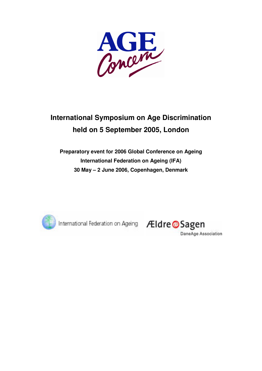

# **International Symposium on Age Discrimination held on 5 September 2005, London**

# **Preparatory event for 2006 Global Conference on Ageing International Federation on Ageing (IFA) 30 May – 2 June 2006, Copenhagen, Denmark**



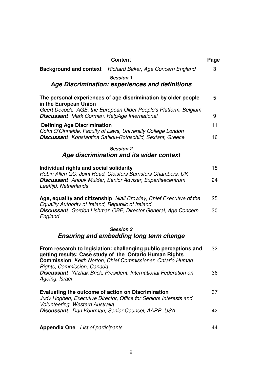| <b>Content</b>                                                                                                                                                                                                                 | Page |
|--------------------------------------------------------------------------------------------------------------------------------------------------------------------------------------------------------------------------------|------|
| <b>Background and context</b> Richard Baker, Age Concern England                                                                                                                                                               | 3    |
| <b>Session 1</b>                                                                                                                                                                                                               |      |
| Age Discrimination: experiences and definitions                                                                                                                                                                                |      |
| The personal experiences of age discrimination by older people<br>in the European Union                                                                                                                                        | 5    |
| Geert Decock, AGE, the European Older People's Platform, Belgium<br><b>Discussant</b> Mark Gorman, HelpAge International                                                                                                       | 9    |
| <b>Defining Age Discrimination</b>                                                                                                                                                                                             | 11   |
| Colm O'Cinneide, Faculty of Laws, University College London<br><b>Discussant</b> Konstantina Safilou-Rothschild, Sextant, Greece                                                                                               | 16   |
| <b>Session 2</b>                                                                                                                                                                                                               |      |
| Age discrimination and its wider context                                                                                                                                                                                       |      |
| Individual rights and social solidarity<br>Robin Allen QC, Joint Head, Cloisters Barristers Chambers, UK                                                                                                                       | 18   |
| <b>Discussant</b> Anouk Mulder, Senior Adviser, Expertisecentrum<br>Leeftijd, Netherlands                                                                                                                                      | 24   |
| Age, equality and citizenship Niall Crowley, Chief Executive of the<br>Equality Authority of Ireland, Republic of Ireland                                                                                                      | 25   |
| Discussant Gordon Lishman OBE, Director General, Age Concern<br>England                                                                                                                                                        | 30   |
| <b>Session 3</b>                                                                                                                                                                                                               |      |
| <b>Ensuring and embedding long term change</b>                                                                                                                                                                                 |      |
| From research to legislation: challenging public perceptions and<br>getting results: Case study of the Ontario Human Rights<br><b>Commission</b> Keith Norton, Chief Commissioner, Ontario Human<br>Rights, Commission, Canada | 32   |
| Discussant Yitzhak Brick, President, International Federation on<br>Ageing, Israel                                                                                                                                             | 36   |
| Evaluating the outcome of action on Discrimination<br>Judy Hogben, Executive Director, Office for Seniors Interests and<br>Volunteering, Western Australia                                                                     | 37   |
| Discussant Dan Kohrman, Senior Counsel, AARP, USA                                                                                                                                                                              | 42   |
| <b>Appendix One</b> List of participants                                                                                                                                                                                       | 44   |

# 2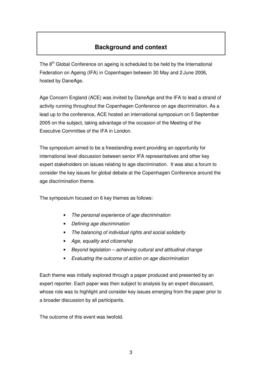# **Background and context**

The  $8<sup>th</sup>$  Global Conference on ageing is scheduled to be held by the International Federation on Ageing (IFA) in Copenhagen between 30 May and 2 June 2006, hosted by DaneAge.

Age Concern England (ACE) was invited by DaneAge and the IFA to lead a strand of activity running throughout the Copenhagen Conference on age discrimination. As a lead up to the conference, ACE hosted an international symposium on 5 September 2005 on the subject, taking advantage of the occasion of the Meeting of the Executive Committee of the IFA in London.

The symposium aimed to be a freestanding event providing an opportunity for international level discussion between senior IFA representatives and other key expert stakeholders on issues relating to age discrimination. It was also a forum to consider the key issues for global debate at the Copenhagen Conference around the age discrimination theme.

The symposium focused on 6 key themes as follows:

- The personal experience of age discrimination
- Defining age discrimination
- The balancing of individual rights and social solidarity
- Age, equality and citizenship
- Beyond legislation achieving cultural and attitudinal change
- Evaluating the outcome of action on age discrimination

Each theme was initially explored through a paper produced and presented by an expert reporter. Each paper was then subject to analysis by an expert discussant, whose role was to highlight and consider key issues emerging from the paper prior to a broader discussion by all participants.

The outcome of this event was twofold.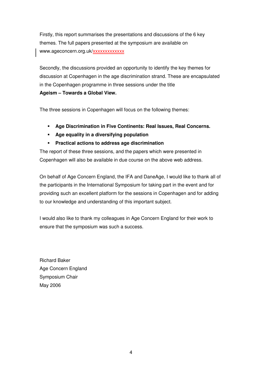Firstly, this report summarises the presentations and discussions of the 6 key themes. The full papers presented at the symposium are available on www.ageconcern.org.uk/xxxxxxxxxxxx

Secondly, the discussions provided an opportunity to identify the key themes for discussion at Copenhagen in the age discrimination strand. These are encapsulated in the Copenhagen programme in three sessions under the title **Ageism – Towards a Global View.**

The three sessions in Copenhagen will focus on the following themes:

- **Age Discrimination in Five Continents: Real Issues, Real Concerns.**
- **Age equality in a diversifying population**
- **Practical actions to address age discrimination**

The report of these three sessions, and the papers which were presented in Copenhagen will also be available in due course on the above web address.

On behalf of Age Concern England, the IFA and DaneAge, I would like to thank all of the participants in the International Symposium for taking part in the event and for providing such an excellent platform for the sessions in Copenhagen and for adding to our knowledge and understanding of this important subject.

I would also like to thank my colleagues in Age Concern England for their work to ensure that the symposium was such a success.

Richard Baker Age Concern England Symposium Chair May 2006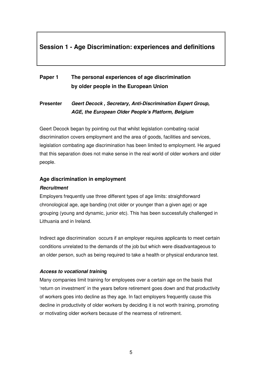# **Session 1 - Age Discrimination: experiences and definitions**

# **Paper 1 The personal experiences of age discrimination by older people in the European Union**

## **Presenter Geert Decock , Secretary, Anti-Discrimination Expert Group, AGE, the European Older People's Platform, Belgium**

Geert Decock began by pointing out that whilst legislation combating racial discrimination covers employment and the area of goods, facilities and services, legislation combating age discrimination has been limited to employment. He argued that this separation does not make sense in the real world of older workers and older people.

### **Age discrimination in employment**

### **Recruitment**

Employers frequently use three different types of age limits: straightforward chronological age, age banding (not older or younger than a given age) or age grouping (young and dynamic, junior etc). This has been successfully challenged in Lithuania and in Ireland.

Indirect age discrimination occurs if an employer requires applicants to meet certain conditions unrelated to the demands of the job but which were disadvantageous to an older person, such as being required to take a health or physical endurance test.

### **Access to vocational training**

Many companies limit training for employees over a certain age on the basis that 'return on investment' in the years before retirement goes down and that productivity of workers goes into decline as they age. In fact employers frequently cause this decline in productivity of older workers by deciding it is not worth training, promoting or motivating older workers because of the nearness of retirement.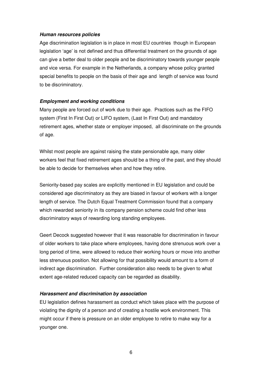#### **Human resources policies**

Age discrimination legislation is in place in most EU countries though in European legislation 'age' is not defined and thus differential treatment on the grounds of age can give a better deal to older people and be discriminatory towards younger people and vice versa. For example in the Netherlands, a company whose policy granted special benefits to people on the basis of their age and length of service was found to be discriminatory.

#### **Employment and working conditions**

Many people are forced out of work due to their age. Practices such as the FIFO system (First In First Out) or LIFO system, (Last In First Out) and mandatory retirement ages, whether state or employer imposed, all discriminate on the grounds of age.

Whilst most people are against raising the state pensionable age, many older workers feel that fixed retirement ages should be a thing of the past, and they should be able to decide for themselves when and how they retire.

Seniority-based pay scales are explicitly mentioned in EU legislation and could be considered age discriminatory as they are biased in favour of workers with a longer length of service. The Dutch Equal Treatment Commission found that a company which rewarded seniority in its company pension scheme could find other less discriminatory ways of rewarding long standing employees.

Geert Decock suggested however that it was reasonable for discrimination in favour of older workers to take place where employees, having done strenuous work over a long period of time, were allowed to reduce their working hours or move into another less strenuous position. Not allowing for that possibility would amount to a form of indirect age discrimination. Further consideration also needs to be given to what extent age-related reduced capacity can be regarded as disability.

#### **Harassment and discrimination by association**

EU legislation defines harassment as conduct which takes place with the purpose of violating the dignity of a person and of creating a hostile work environment. This might occur if there is pressure on an older employee to retire to make way for a younger one.

6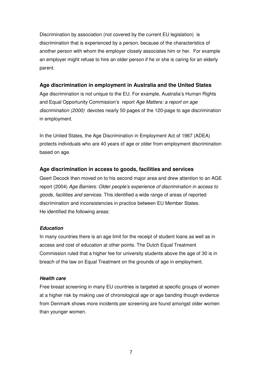Discrimination by association (not covered by the current EU legislation) is discrimination that is experienced by a person, because of the characteristics of another person with whom the employer closely associates him or her. For example an employer might refuse to hire an older person if he or she is caring for an elderly parent.

### **Age discrimination in employment in Australia and the United States**

Age discrimination is not unique to the EU. For example, Australia's Human Rights and Equal Opportunity Commission's report Age Matters: a report on age discrimination (2000) devotes nearly 50 pages of the 120-page to age discrimination in employment.

In the United States, the Age Discrimination in Employment Act of 1967 (ADEA) protects individuals who are 40 years of age or older from employment discrimination based on age.

### **Age discrimination in access to goods, facilities and services**

Geert Decock then moved on to his second major area and drew attention to an AGE report (2004) Age Barriers: Older people's experience of discrimination in access to goods, facilities and services. This identified a wide range of areas of reported discrimination and inconsistencies in practice between EU Member States. He identified the following areas:

### **Education**

In many countries there is an age limit for the receipt of student loans as well as in access and cost of education at other points. The Dutch Equal Treatment Commission ruled that a higher fee for university students above the age of 30 is in breach of the law on Equal Treatment on the grounds of age in employment.

### **Health care**

Free breast screening in many EU countries is targeted at specific groups of women at a higher risk by making use of chronological age or age banding though evidence from Denmark shows more incidents per screening are found amongst older women than younger women.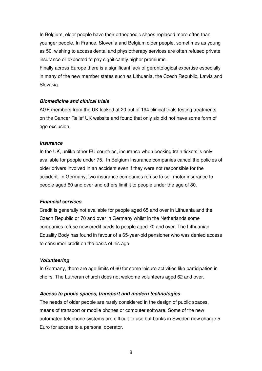In Belgium, older people have their orthopaedic shoes replaced more often than younger people. In France, Slovenia and Belgium older people, sometimes as young as 50, wishing to access dental and physiotherapy services are often refused private insurance or expected to pay significantly higher premiums.

Finally across Europe there is a significant lack of gerontological expertise especially in many of the new member states such as Lithuania, the Czech Republic, Latvia and Slovakia.

#### **Biomedicine and clinical trials**

AGE members from the UK looked at 20 out of 194 clinical trials testing treatments on the Cancer Relief UK website and found that only six did not have some form of age exclusion.

#### **Insurance**

In the UK, unlike other EU countries, insurance when booking train tickets is only available for people under 75. In Belgium insurance companies cancel the policies of older drivers involved in an accident even if they were not responsible for the accident. In Germany, two insurance companies refuse to sell motor insurance to people aged 60 and over and others limit it to people under the age of 80.

#### **Financial services**

Credit is generally not available for people aged 65 and over in Lithuania and the Czech Republic or 70 and over in Germany whilst in the Netherlands some companies refuse new credit cards to people aged 70 and over. The Lithuanian Equality Body has found in favour of a 65-year-old pensioner who was denied access to consumer credit on the basis of his age.

#### **Volunteering**

In Germany, there are age limits of 60 for some leisure activities like participation in choirs. The Lutheran church does not welcome volunteers aged 62 and over.

#### **Access to public spaces, transport and modern technologies**

The needs of older people are rarely considered in the design of public spaces, means of transport or mobile phones or computer software. Some of the new automated telephone systems are difficult to use but banks in Sweden now charge 5 Euro for access to a personal operator.

8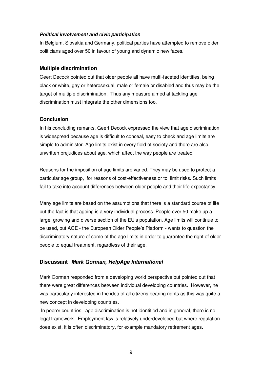#### **Political involvement and civic participation**

In Belgium, Slovakia and Germany, political parties have attempted to remove older politicians aged over 50 in favour of young and dynamic new faces.

### **Multiple discrimination**

Geert Decock pointed out that older people all have multi-faceted identities, being black or white, gay or heterosexual, male or female or disabled and thus may be the target of multiple discrimination. Thus any measure aimed at tackling age discrimination must integrate the other dimensions too.

### **Conclusion**

In his concluding remarks, Geert Decock expressed the view that age discrimination is widespread because age is difficult to conceal, easy to check and age limits are simple to administer. Age limits exist in every field of society and there are also unwritten prejudices about age, which affect the way people are treated.

Reasons for the imposition of age limits are varied. They may be used to protect a particular age group, for reasons of cost-effectiveness.or to limit risks. Such limits fail to take into account differences between older people and their life expectancy.

Many age limits are based on the assumptions that there is a standard course of life but the fact is that ageing is a very individual process. People over 50 make up a large, growing and diverse section of the EU's population. Age limits will continue to be used, but AGE - the European Older People's Platform - wants to question the discriminatory nature of some of the age limits in order to guarantee the right of older people to equal treatment, regardless of their age.

### **Discussant Mark Gorman, HelpAge International**

Mark Gorman responded from a developing world perspective but pointed out that there were great differences between individual developing countries. However, he was particularly interested in the idea of all citizens bearing rights as this was quite a new concept in developing countries.

 In poorer countries, age discrimination is not identified and in general, there is no legal framework. Employment law is relatively underdeveloped but where regulation does exist, it is often discriminatory, for example mandatory retirement ages.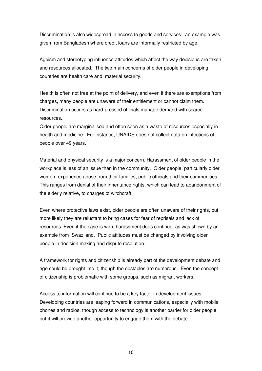Discrimination is also widespread in access to goods and services; an example was given from Bangladesh where credit loans are informally restricted by age.

Ageism and stereotyping influence attitudes which affect the way decisions are taken and resources allocated. The two main concerns of older people in developing countries are health care and material security.

Health is often not free at the point of delivery, and even if there are exemptions from charges, many people are unaware of their entitlement or cannot claim them. Discrimination occurs as hard-pressed officials manage demand with scarce resources.

Older people are marginalised and often seen as a waste of resources especially in health and medicine. For instance, UNAIDS does not collect data on infections of people over 49 years.

Material and physical security is a major concern. Harassment of older people in the workplace is less of an issue than in the community. Older people, particularly older women, experience abuse from their families, public officials and their communities. This ranges from denial of their inheritance rights, which can lead to abandonment of the elderly relative, to charges of witchcraft.

Even where protective laws exist, older people are often unaware of their rights, but more likely they are reluctant to bring cases for fear of reprisals and lack of resources. Even if the case is won, harassment does continue, as was shown by an example from Swaziland. Public attitudes must be changed by involving older people in decision making and dispute resolution.

A framework for rights and citizenship is already part of the development debate and age could be brought into it, though the obstacles are numerous. Even the concept of citizenship is problematic with some groups, such as migrant workers.

Access to information will continue to be a key factor in development issues. Developing countries are leaping forward in communications, especially with mobile phones and radios, though access to technology is another barrier for older people, but it will provide another opportunity to engage them with the debate.

\_\_\_\_\_\_\_\_\_\_\_\_\_\_\_\_\_\_\_\_\_\_\_\_\_\_\_\_\_\_\_\_\_\_\_\_\_\_\_\_\_\_\_\_\_\_\_\_\_\_\_\_\_\_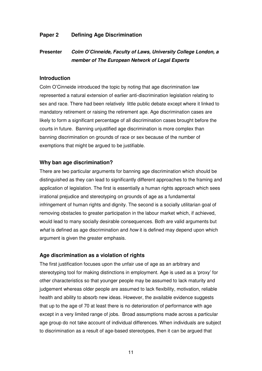### **Paper 2 Defining Age Discrimination**

## **Presenter Colm O'Cinneide, Faculty of Laws, University College London, a member of The European Network of Legal Experts**

#### **Introduction**

Colm O'Cinneide introduced the topic by noting that age discrimination law represented a natural extension of earlier anti-discrimination legislation relating to sex and race. There had been relatively little public debate except where it linked to mandatory retirement or raising the retirement age. Age discrimination cases are likely to form a significant percentage of all discrimination cases brought before the courts in future. Banning unjustified age discrimination is more complex than banning discrimination on grounds of race or sex because of the number of exemptions that might be argued to be justifiable.

#### **Why ban age discrimination?**

There are two particular arguments for banning age discrimination which should be distinguished as they can lead to significantly different approaches to the framing and application of legislation. The first is essentially a human rights approach which sees irrational prejudice and stereotyping on grounds of age as a fundamental infringement of human rights and dignity. The second is a socially utilitarian goal of removing obstacles to greater participation in the labour market which, if achieved, would lead to many socially desirable consequences. Both are valid arguments but what is defined as age discrimination and how it is defined may depend upon which argument is given the greater emphasis.

### **Age discrimination as a violation of rights**

The first justification focuses upon the unfair use of age as an arbitrary and stereotyping tool for making distinctions in employment. Age is used as a 'proxy' for other characteristics so that younger people may be assumed to lack maturity and judgement whereas older people are assumed to lack flexibility, motivation, reliable health and ability to absorb new ideas. However, the available evidence suggests that up to the age of 70 at least there is no deterioration of performance with age except in a very limited range of jobs. Broad assumptions made across a particular age group do not take account of individual differences. When individuals are subject to discrimination as a result of age-based stereotypes, then it can be argued that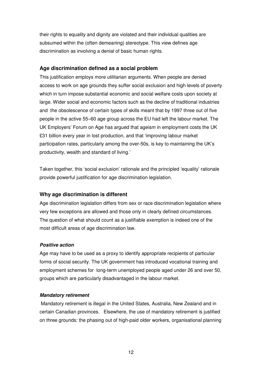their rights to equality and dignity are violated and their individual qualities are subsumed within the (often demeaning) stereotype. This view defines age discrimination as involving a denial of basic human rights.

### **Age discrimination defined as a social problem**

This justification employs more utilitarian arguments. When people are denied access to work on age grounds they suffer social exclusion and high levels of poverty which in turn impose substantial economic and social welfare costs upon society at large. Wider social and economic factors such as the decline of traditional industries and the obsolescence of certain types of skills meant that by 1997 three out of five people in the active 55–60 age group across the EU had left the labour market. The UK Employers' Forum on Age has argued that ageism in employment costs the UK £31 billion every year in lost production, and that 'improving labour market participation rates, particularly among the over-50s, is key to maintaining the UK's productivity, wealth and standard of living.'

Taken together, this 'social exclusion' rationale and the principled 'equality' rationale provide powerful justification for age discrimination legislation.

### **Why age discrimination is different**

Age discrimination legislation differs from sex or race discrimination legislation where very few exceptions are allowed and those only in clearly defined circumstances. The question of what should count as a justifiable exemption is indeed one of the most difficult areas of age discrimination law.

#### **Positive action**

Age may have to be used as a proxy to identify appropriate recipients of particular forms of social security. The UK government has introduced vocational training and employment schemes for long-term unemployed people aged under 26 and over 50, groups which are particularly disadvantaged in the labour market.

#### **Mandatory retirement**

 Mandatory retirement is illegal in the United States, Australia, New Zealand and in certain Canadian provinces. Elsewhere, the use of mandatory retirement is justified on three grounds: the phasing out of high-paid older workers, organisational planning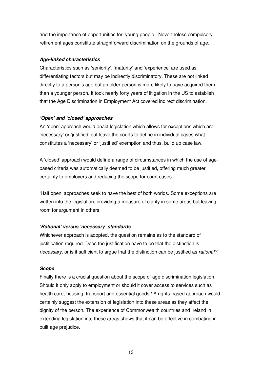and the importance of opportunities for young people. Nevertheless compulsory retirement ages constitute straightforward discrimination on the grounds of age.

### **Age-linked characteristics**

Characteristics such as 'seniority', 'maturity' and 'experience' are used as differentiating factors but may be indirectly discriminatory. These are not linked directly to a person's age but an older person is more likely to have acquired them than a younger person. It took nearly forty years of litigation in the US to establish that the Age Discrimination in Employment Act covered indirect discrimination.

#### **'Open' and 'closed' approaches**

An 'open' approach would enact legislation which allows for exceptions which are 'necessary' or 'justified' but leave the courts to define in individual cases what constitutes a 'necessary' or 'justified' exemption and thus, build up case law.

A 'closed' approach would define a range of circumstances in which the use of agebased criteria was automatically deemed to be justified, offering much greater certainty to employers and reducing the scope for court cases.

'Half open' approaches seek to have the best of both worlds. Some exceptions are written into the legislation, providing a measure of clarity in some areas but leaving room for argument in others.

### **'Rational' versus 'necessary' standards**

Whichever approach is adopted, the question remains as to the standard of justification required. Does the justification have to be that the distinction is necessary, or is it sufficient to argue that the distinction can be justified as *rational?* 

#### **Scope**

Finally there is a crucial question about the scope of age discrimination legislation. Should it only apply to employment or should it cover access to services such as health care, housing, transport and essential goods? A rights-based approach would certainly suggest the extension of legislation into these areas as they affect the dignity of the person. The experience of Commonwealth countries and Ireland in extending legislation into these areas shows that it can be effective in combating inbuilt age prejudice.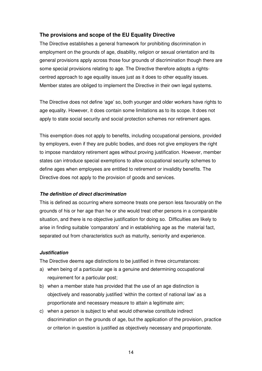### **The provisions and scope of the EU Equality Directive**

The Directive establishes a general framework for prohibiting discrimination in employment on the grounds of age, disability, religion or sexual orientation and its general provisions apply across those four grounds of discrimination though there are some special provisions relating to age. The Directive therefore adopts a rightscentred approach to age equality issues just as it does to other equality issues. Member states are obliged to implement the Directive in their own legal systems.

The Directive does not define 'age' so, both younger and older workers have rights to age equality. However, it does contain some limitations as to its scope. It does not apply to state social security and social protection schemes nor retirement ages.

This exemption does not apply to benefits, including occupational pensions, provided by employers, even if they are public bodies, and does not give employers the right to impose mandatory retirement ages without proving justification. However, member states can introduce special exemptions to allow occupational security schemes to define ages when employees are entitled to retirement or invalidity benefits. The Directive does not apply to the provision of goods and services.

### **The definition of direct discrimination**

This is defined as occurring where someone treats one person less favourably on the grounds of his or her age than he or she would treat other persons in a comparable situation, and there is no objective justification for doing so. Difficulties are likely to arise in finding suitable 'comparators' and in establishing age as the material fact, separated out from characteristics such as maturity, seniority and experience.

#### **Justification**

The Directive deems age distinctions to be justified in three circumstances:

- a) when being of a particular age is a genuine and determining occupational requirement for a particular post;
- b) when a member state has provided that the use of an age distinction is objectively and reasonably justified 'within the context of national law' as a proportionate and necessary measure to attain a legitimate aim;
- c) when a person is subject to what would otherwise constitute indirect discrimination on the grounds of age, but the application of the provision, practice or criterion in question is justified as objectively necessary and proportionate.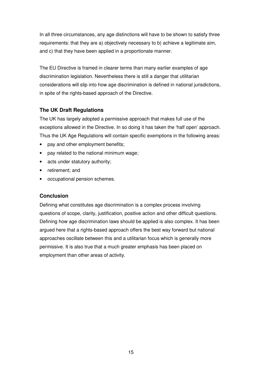In all three circumstances, any age distinctions will have to be shown to satisfy three requirements: that they are a) objectively necessary to b) achieve a legitimate aim, and c) that they have been applied in a proportionate manner.

The EU Directive is framed in clearer terms than many earlier examples of age discrimination legislation. Nevertheless there is still a danger that utilitarian considerations will slip into how age discrimination is defined in national jurisdictions, in spite of the rights-based approach of the Directive.

### **The UK Draft Regulations**

The UK has largely adopted a permissive approach that makes full use of the exceptions allowed in the Directive. In so doing it has taken the 'half open' approach. Thus the UK Age Regulations will contain specific exemptions in the following areas:

- pay and other employment benefits;
- pay related to the national minimum wage;
- acts under statutory authority:
- retirement; and
- occupational pension schemes.

### **Conclusion**

Defining what constitutes age discrimination is a complex process involving questions of scope, clarity, justification, positive action and other difficult questions. Defining how age discrimination laws should be applied is also complex. It has been argued here that a rights-based approach offers the best way forward but national approaches oscillate between this and a utilitarian focus which is generally more permissive. It is also true that a much greater emphasis has been placed on employment than other areas of activity.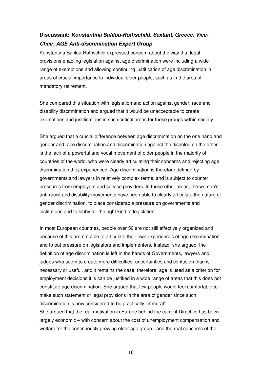# **Discussant: Konstantina Safilou-Rothschild, Sextant, Greece, Vice-Chair, AGE Anti-discrimination Expert Group**

Konstantina Safilou-Rothschild expressed concern about the way that legal provisions enacting legislation against age discrimination were including a wide range of exemptions and allowing continuing justification of age discrimination in areas of crucial importance to individual older people, such as in the area of mandatory retirement.

She compared this situation with legislation and action against gender, race and disability discrimination and argued that it would be unacceptable to create exemptions and justifications in such critical areas for these groups within society.

She argued that a crucial difference between age discrimination on the one hand and gender and race discrimination and discrimination against the disabled on the other is the lack of a powerful and vocal movement of older people in the majority of countries of the world, who were clearly articulating their concerns and rejecting age discrimination they experienced. Age discrimination is therefore defined by governments and lawyers in relatively complex terms, and is subject to counter pressures from employers and service providers. In these other areas, the women's, anti-racist and disability movements have been able to clearly articulate the nature of gender discrimination, to place considerable pressure on governments and institutions and to lobby for the right kind of legislation.

In most European countries, people over 50 are not still effectively organized and because of this are not able to articulate their own experiences of age discrimination and to put pressure on legislators and implementers. Instead, she argued, the definition of age discrimination is left in the hands of Governments, lawyers and judges who seem to create more difficulties, uncertainties and confusion than is necessary or useful, and it remains the case, therefore, age is used as a criterion for employment decisions it is can be justified in a wide range of areas that this does not constitute age discrimination. She argued that few people would feel comfortable to make such statement or legal provisions in the area of gender since such discrimination is now considered to be practically 'immoral'.

She argued that the real motivation in Europe behind the current Directive has been largely economic – with concern about the cost of unemployment compensation and welfare for the continuously growing older age group - and the real concerns of the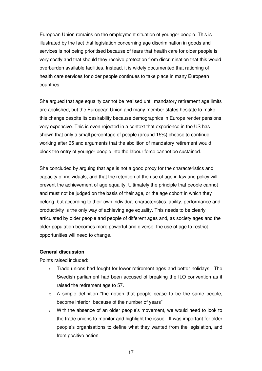European Union remains on the employment situation of younger people. This is illustrated by the fact that legislation concerning age discrimination in goods and services is not being prioritised because of fears that health care for older people is very costly and that should they receive protection from discrimination that this would overburden available facilities. Instead, it is widely documented that rationing of health care services for older people continues to take place in many European countries.

She argued that age equality cannot be realised until mandatory retirement age limits are abolished, but the European Union and many member states hesitate to make this change despite its desirability because demographics in Europe render pensions very expensive. This is even rejected in a context that experience in the US has shown that only a small percentage of people (around 15%) choose to continue working after 65 and arguments that the abolition of mandatory retirement would block the entry of younger people into the labour force cannot be sustained.

She concluded by arguing that age is not a good proxy for the characteristics and capacity of individuals, and that the retention of the use of age in law and policy will prevent the achievement of age equality. Ultimately the principle that people cannot and must not be judged on the basis of their age, or the age cohort in which they belong, but according to their own individual characteristics, ability, performance and productivity is the only way of achieving age equality. This needs to be clearly articulated by older people and people of different ages and, as society ages and the older population becomes more powerful and diverse, the use of age to restrict opportunities will need to change.

#### **General discussion**

Points raised included:

- $\circ$  Trade unions had fought for lower retirement ages and better holidays. The Swedish parliament had been accused of breaking the ILO convention as it raised the retirement age to 57.
- o A simple definition "the notion that people cease to be the same people, become inferior because of the number of years"
- o With the absence of an older people's movement, we would need to look to the trade unions to monitor and highlight the issue. It was important for older people's organisations to define what they wanted from the legislation, and from positive action.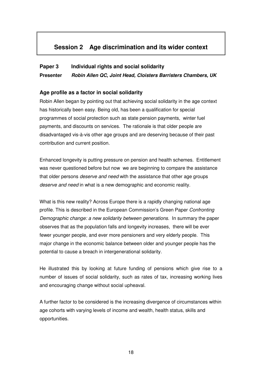# **Session 2 Age discrimination and its wider context**

### **Paper 3 Individual rights and social solidarity**

**Presenter Robin Allen QC, Joint Head, Cloisters Barristers Chambers, UK** 

### **Age profile as a factor in social solidarity**

Robin Allen began by pointing out that achieving social solidarity in the age context has historically been easy. Being old, has been a qualification for special programmes of social protection such as state pension payments, winter fuel payments, and discounts on services. The rationale is that older people are disadvantaged vis-à-vis other age groups and are deserving because of their past contribution and current position.

Enhanced longevity is putting pressure on pension and health schemes. Entitlement was never questioned before but now we are beginning to compare the assistance that older persons deserve and need with the assistance that other age groups deserve and need in what is a new demographic and economic reality.

What is this new reality? Across Europe there is a rapidly changing national age profile. This is described in the European Commission's Green Paper Confronting Demographic change: a new solidarity between generations. In summary the paper observes that as the population falls and longevity increases, there will be ever fewer younger people, and ever more pensioners and very elderly people. This major change in the economic balance between older and younger people has the potential to cause a breach in intergenerational solidarity.

He illustrated this by looking at future funding of pensions which give rise to a number of issues of social solidarity, such as rates of tax, increasing working lives and encouraging change without social upheaval.

A further factor to be considered is the increasing divergence of circumstances within age cohorts with varying levels of income and wealth, health status, skills and opportunities.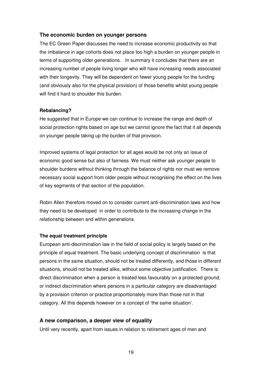### **The economic burden on younger persons**

The EC Green Paper discusses the need to increase economic productivity so that the imbalance in age cohorts does not place too high a burden on younger people in terms of supporting older generations. In summary it concludes that there are an increasing number of people living longer who will have increasing needs associated with their longevity. They will be dependent on fewer young people for the funding (and obviously also for the physical provision) of those benefits whilst young people will find it hard to shoulder this burden.

#### **Rebalancing?**

He suggested that in Europe we can continue to increase the range and depth of social protection rights based on age but we cannot ignore the fact that it all depends on younger people taking up the burden of that provision.

Improved systems of legal protection for all ages would be not only an issue of economic good sense but also of fairness. We must neither ask younger people to shoulder burdens without thinking through the balance of rights nor must we remove necessary social support from older people without recognising the effect on the lives of key segments of that section of the population.

Robin Allen therefore moved on to consider current anti-discrimination laws and how they need to be developed in order to contribute to the increasing change in the relationship between and within generations.

#### **The equal treatment principle**

European anti-discrimination law in the field of social policy is largely based on the principle of equal treatment. The basic underlying concept of discrimination is that persons in the same situation, should not be treated differently, and those in different situations, should not be treated alike, without some objective justification. There is direct discrimination when a person is treated less favourably on a protected ground, or indirect discrimination where persons in a particular category are disadvantaged by a provision criterion or practice proportionately more than those not in that category. All this depends however on a concept of 'the same situation'.

#### **A new comparison, a deeper view of equality**

Until very recently, apart from issues in relation to retirement ages of men and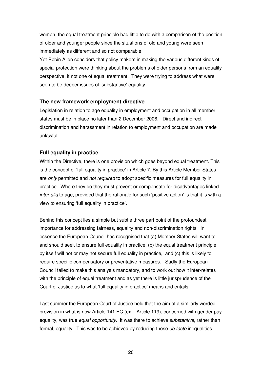women, the equal treatment principle had little to do with a comparison of the position of older and younger people since the situations of old and young were seen immediately as different and so not comparable.

Yet Robin Allen considers that policy makers in making the various different kinds of special protection were thinking about the problems of older persons from an equality perspective, if not one of equal treatment. They were trying to address what were seen to be deeper issues of 'substantive' equality.

### **The new framework employment directive**

Legislation in relation to age equality in employment and occupation in all member states must be in place no later than 2 December 2006. Direct and indirect discrimination and harassment in relation to employment and occupation are made unlawful. .

### **Full equality in practice**

Within the Directive, there is one provision which goes beyond equal treatment. This is the concept of 'full equality in practice' in Article 7. By this Article Member States are *only* permitted and *not required* to adopt specific measures for full equality in practice. Where they do they must prevent or compensate for disadvantages linked inter alia to age, provided that the rationale for such 'positive action' is that it is with a view to ensuring 'full equality in practice'.

Behind this concept lies a simple but subtle three part point of the profoundest importance for addressing fairness, equality and non-discrimination rights. In essence the European Council has recognised that (a) Member States will want to and should seek to ensure full equality in practice, (b) the equal treatment principle by itself will not or may not secure full equality in practice, and (c) this is likely to require specific compensatory or preventative measures. Sadly the European Council failed to make this analysis mandatory, and to work out how it inter-relates with the principle of equal treatment and as yet there is little jurisprudence of the Court of Justice as to what 'full equality in practice' means and entails.

Last summer the European Court of Justice held that the aim of a similarly worded provision in what is now Article 141 EC (ex – Article 119), concerned with gender pay equality, was true equal opportunity. It was there to achieve substantive, rather than formal, equality. This was to be achieved by reducing those *de facto* inequalities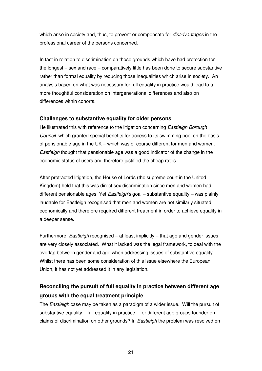which arise in society and, thus, to prevent or compensate for *disadvantages* in the professional career of the persons concerned.

In fact in relation to discrimination on those grounds which have had protection for the longest – sex and race – comparatively little has been done to secure substantive rather than formal equality by reducing those inequalities which arise in society. An analysis based on what was necessary for full equality in practice would lead to a more thoughtful consideration on intergenerational differences and also on differences within cohorts.

### **Challenges to substantive equality for older persons**

He illustrated this with reference to the litigation concerning Eastleigh Borough Council which granted special benefits for access to its swimming pool on the basis of pensionable age in the UK – which was of course different for men and women. Eastleigh thought that pensionable age was a good indicator of the change in the economic status of users and therefore justified the cheap rates.

After protracted litigation, the House of Lords (the supreme court in the United Kingdom) held that this was direct sex discrimination since men and women had different pensionable ages. Yet Eastleigh's goal – substantive equality – was plainly laudable for Eastleigh recognised that men and women are not similarly situated economically and therefore required different treatment in order to achieve equality in a deeper sense.

Furthermore, Eastleigh recognised – at least implicitly – that age and gender issues are very closely associated. What it lacked was the legal framework, to deal with the overlap between gender and age when addressing issues of substantive equality. Whilst there has been some consideration of this issue elsewhere the European Union, it has not yet addressed it in any legislation.

# **Reconciling the pursuit of full equality in practice between different age groups with the equal treatment principle**

The *Eastleigh* case may be taken as a paradigm of a wider issue. Will the pursuit of substantive equality – full equality in practice – for different age groups founder on claims of discrimination on other grounds? In *Eastleigh* the problem was resolved on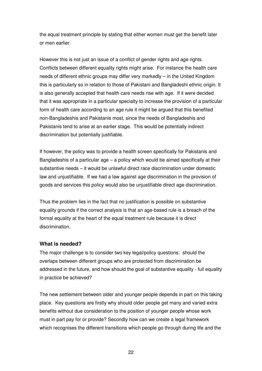the equal treatment principle by stating that either women must get the benefit later or men earlier.

However this is not just an issue of a conflict of gender rights and age rights. Conflicts between different equality rights might arise. For instance the health care needs of different ethnic groups may differ very markedly – in the United Kingdom this is particularly so in relation to those of Pakistani and Bangladeshi ethnic origin. It is also generally accepted that health care needs rise with age. If it were decided that it was appropriate in a particular specialty to increase the provision of a particular form of health care according to an age rule it might be argued that this benefited non-Bangladeshis and Pakistanis most, since the needs of Bangladeshis and Pakistanis tend to arise at an earlier stage. This would be potentially indirect discrimination but potentially justifiable.

If however, the policy was to provide a health screen specifically for Pakistanis and Bangladeshis of a particular age  $-$  a policy which would be aimed specifically at their substantive needs – it would be unlawful direct race discrimination under domestic law and unjustifiable. If we had a law against age discrimination in the provision of goods and services this policy would also be unjustifiable direct age discrimination.

Thus the problem lies in the fact that no justification is possible on substantive equality grounds if the correct analysis is that an age-based rule is a breach of the formal equality at the heart of the equal treatment rule because it is direct discrimination.

#### **What is needed?**

The major challenge is to consider two key legal/policy questions: should the overlaps between different groups who are protected from discrimination be addressed in the future, and how should the goal of substantive equality - full equality in practice be achieved?

The new settlement between older and younger people depends in part on this taking place. Key questions are firstly why should older people get many and varied extra benefits without due consideration to the position of younger people whose work must in part pay for or provide? Secondly how can we create a legal framework which recognises the different transitions which people go through during life and the

22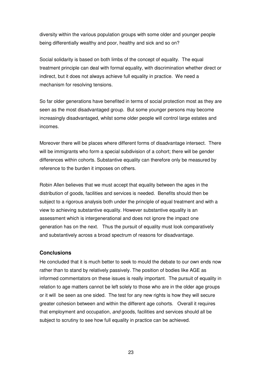diversity within the various population groups with some older and younger people being differentially wealthy and poor, healthy and sick and so on?

Social solidarity is based on both limbs of the concept of equality. The equal treatment principle can deal with formal equality, with discrimination whether direct or indirect, but it does not always achieve full equality in practice. We need a mechanism for resolving tensions.

So far older generations have benefited in terms of social protection most as they are seen as the most disadvantaged group. But some younger persons may become increasingly disadvantaged, whilst some older people will control large estates and incomes.

Moreover there will be places where different forms of disadvantage intersect. There will be immigrants who form a special subdivision of a cohort; there will be gender differences within cohorts. Substantive equality can therefore only be measured by reference to the burden it imposes on others.

Robin Allen believes that we must accept that equality between the ages in the distribution of goods, facilities and services is needed. Benefits should then be subject to a rigorous analysis both under the principle of equal treatment and with a view to achieving substantive equality. However substantive equality is an assessment which is intergenerational and does not ignore the impact one generation has on the next. Thus the pursuit of equality must look comparatively and substantively across a broad spectrum of reasons for disadvantage.

#### **Conclusions**

He concluded that it is much better to seek to mould the debate to our own ends now rather than to stand by relatively passively. The position of bodies like AGE as informed commentators on these issues is really important. The pursuit of equality in relation to age matters cannot be left solely to those who are in the older age groups or it will be seen as one sided. The test for any new rights is how they will secure greater cohesion between and within the different age cohorts. Overall it requires that employment and occupation, and goods, facilities and services should all be subject to scrutiny to see how full equality in practice can be achieved.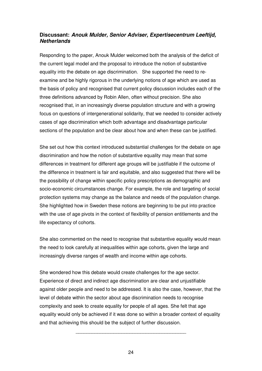### **Discussant: Anouk Mulder, Senior Adviser, Expertisecentrum Leeftijd, Netherlands**

Responding to the paper, Anouk Mulder welcomed both the analysis of the deficit of the current legal model and the proposal to introduce the notion of substantive equality into the debate on age discrimination. She supported the need to reexamine and be highly rigorous in the underlying notions of age which are used as the basis of policy and recognised that current policy discussion includes each of the three definitions advanced by Robin Allen, often without precision. She also recognised that, in an increasingly diverse population structure and with a growing focus on questions of intergenerational solidarity, that we needed to consider actively cases of age discrimination which both advantage and disadvantage particular sections of the population and be clear about how and when these can be justified.

She set out how this context introduced substantial challenges for the debate on age discrimination and how the notion of substantive equality may mean that some differences in treatment for different age groups will be justifiable if the outcome of the difference in treatment is fair and equitable, and also suggested that there will be the possibility of change within specific policy prescriptions as demographic and socio-economic circumstances change. For example, the role and targeting of social protection systems may change as the balance and needs of the population change. She highlighted how in Sweden these notions are beginning to be put into practice with the use of age pivots in the context of flexibility of pension entitlements and the life expectancy of cohorts.

She also commented on the need to recognise that substantive equality would mean the need to look carefully at inequalities within age cohorts, given the large and increasingly diverse ranges of wealth and income within age cohorts.

She wondered how this debate would create challenges for the age sector. Experience of direct and indirect age discrimination are clear and unjustifiable against older people and need to be addressed. It is also the case, however, that the level of debate within the sector about age discrimination needs to recognise complexity and seek to create equality for people of all ages. She felt that age equality would only be achieved if it was done so within a broader context of equality and that achieving this should be the subject of further discussion.

\_\_\_\_\_\_\_\_\_\_\_\_\_\_\_\_\_\_\_\_\_\_\_\_\_\_\_\_\_\_\_\_\_\_\_\_\_\_\_\_\_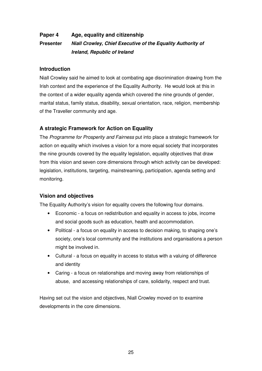# **Paper 4 Age, equality and citizenship Presenter Niall Crowley, Chief Executive of the Equality Authority of Ireland, Republic of Ireland**

### **Introduction**

Niall Crowley said he aimed to look at combating age discrimination drawing from the Irish context and the experience of the Equality Authority. He would look at this in the context of a wider equality agenda which covered the nine grounds of gender, marital status, family status, disability, sexual orientation, race, religion, membership of the Traveller community and age.

### **A strategic Framework for Action on Equality**

The Programme for Prosperity and Fairness put into place a strategic framework for action on equality which involves a vision for a more equal society that incorporates the nine grounds covered by the equality legislation, equality objectives that draw from this vision and seven core dimensions through which activity can be developed: legislation, institutions, targeting, mainstreaming, participation, agenda setting and monitoring.

### **Vision and objectives**

The Equality Authority's vision for equality covers the following four domains.

- Economic a focus on redistribution and equality in access to jobs, income and social goods such as education, health and accommodation.
- Political a focus on equality in access to decision making, to shaping one's society, one's local community and the institutions and organisations a person might be involved in.
- Cultural a focus on equality in access to status with a valuing of difference and identity
- Caring a focus on relationships and moving away from relationships of abuse, and accessing relationships of care, solidarity, respect and trust.

Having set out the vision and objectives, Niall Crowley moved on to examine developments in the core dimensions.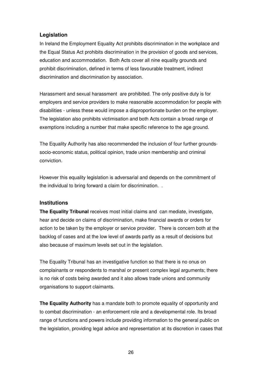### **Legislation**

In Ireland the Employment Equality Act prohibits discrimination in the workplace and the Equal Status Act prohibits discrimination in the provision of goods and services, education and accommodation. Both Acts cover all nine equality grounds and prohibit discrimination, defined in terms of less favourable treatment, indirect discrimination and discrimination by association.

Harassment and sexual harassment are prohibited. The only positive duty is for employers and service providers to make reasonable accommodation for people with disabilities - unless these would impose a disproportionate burden on the employer. The legislation also prohibits victimisation and both Acts contain a broad range of exemptions including a number that make specific reference to the age ground.

The Equality Authority has also recommended the inclusion of four further groundssocio-economic status, political opinion, trade union membership and criminal conviction.

However this equality legislation is adversarial and depends on the commitment of the individual to bring forward a claim for discrimination. .

### **Institutions**

**The Equality Tribunal** receives most initial claims and can mediate, investigate, hear and decide on claims of discrimination, make financial awards or orders for action to be taken by the employer or service provider. There is concern both at the backlog of cases and at the low level of awards partly as a result of decisions but also because of maximum levels set out in the legislation.

The Equality Tribunal has an investigative function so that there is no onus on complainants or respondents to marshal or present complex legal arguments; there is no risk of costs being awarded and it also allows trade unions and community organisations to support claimants.

**The Equality Authority** has a mandate both to promote equality of opportunity and to combat discrimination - an enforcement role and a developmental role. Its broad range of functions and powers include providing information to the general public on the legislation, providing legal advice and representation at its discretion in cases that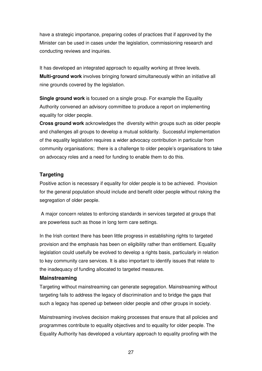have a strategic importance, preparing codes of practices that if approved by the Minister can be used in cases under the legislation, commissioning research and conducting reviews and inquiries.

It has developed an integrated approach to equality working at three levels. **Multi-ground work** involves bringing forward simultaneously within an initiative all nine grounds covered by the legislation.

**Single ground work** is focused on a single group. For example the Equality Authority convened an advisory committee to produce a report on implementing equality for older people.

**Cross ground work** acknowledges the diversity within groups such as older people and challenges all groups to develop a mutual solidarity. Successful implementation of the equality legislation requires a wider advocacy contribution in particular from community organisations; there is a challenge to older people's organisations to take on advocacy roles and a need for funding to enable them to do this.

### **Targeting**

Positive action is necessary if equality for older people is to be achieved. Provision for the general population should include and benefit older people without risking the segregation of older people.

 A major concern relates to enforcing standards in services targeted at groups that are powerless such as those in long term care settings.

In the Irish context there has been little progress in establishing rights to targeted provision and the emphasis has been on eligibility rather than entitlement. Equality legislation could usefully be evolved to develop a rights basis, particularly in relation to key community care services. It is also important to identify issues that relate to the inadequacy of funding allocated to targeted measures.

### **Mainstreaming**

Targeting without mainstreaming can generate segregation. Mainstreaming without targeting fails to address the legacy of discrimination and to bridge the gaps that such a legacy has opened up between older people and other groups in society.

Mainstreaming involves decision making processes that ensure that all policies and programmes contribute to equality objectives and to equality for older people. The Equality Authority has developed a voluntary approach to equality proofing with the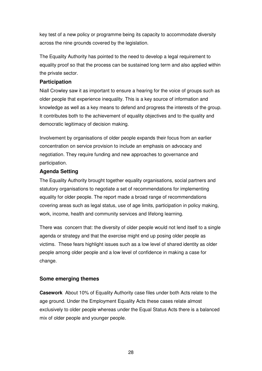key test of a new policy or programme being its capacity to accommodate diversity across the nine grounds covered by the legislation.

The Equality Authority has pointed to the need to develop a legal requirement to equality proof so that the process can be sustained long term and also applied within the private sector.

### **Participation**

Niall Crowley saw it as important to ensure a hearing for the voice of groups such as older people that experience inequality. This is a key source of information and knowledge as well as a key means to defend and progress the interests of the group. It contributes both to the achievement of equality objectives and to the quality and democratic legitimacy of decision making.

Involvement by organisations of older people expands their focus from an earlier concentration on service provision to include an emphasis on advocacy and negotiation. They require funding and new approaches to governance and participation.

### **Agenda Setting**

The Equality Authority brought together equality organisations, social partners and statutory organisations to negotiate a set of recommendations for implementing equality for older people. The report made a broad range of recommendations covering areas such as legal status, use of age limits, participation in policy making, work, income, health and community services and lifelong learning.

There was concern that: the diversity of older people would not lend itself to a single agenda or strategy and that the exercise might end up posing older people as victims. These fears highlight issues such as a low level of shared identity as older people among older people and a low level of confidence in making a case for change.

### **Some emerging themes**

**Casework** About 10% of Equality Authority case files under both Acts relate to the age ground. Under the Employment Equality Acts these cases relate almost exclusively to older people whereas under the Equal Status Acts there is a balanced mix of older people and younger people.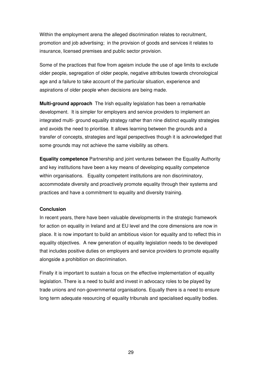Within the employment arena the alleged discrimination relates to recruitment, promotion and job advertising; in the provision of goods and services it relates to insurance, licensed premises and public sector provision.

Some of the practices that flow from ageism include the use of age limits to exclude older people, segregation of older people, negative attributes towards chronological age and a failure to take account of the particular situation, experience and aspirations of older people when decisions are being made.

**Multi-ground approach** The Irish equality legislation has been a remarkable development. It is simpler for employers and service providers to implement an integrated multi- ground equality strategy rather than nine distinct equality strategies and avoids the need to prioritise. It allows learning between the grounds and a transfer of concepts, strategies and legal perspectives though it is acknowledged that some grounds may not achieve the same visibility as others.

**Equality competence** Partnership and joint ventures between the Equality Authority and key institutions have been a key means of developing equality competence within organisations. Equality competent institutions are non discriminatory, accommodate diversity and proactively promote equality through their systems and practices and have a commitment to equality and diversity training.

#### **Conclusion**

In recent years, there have been valuable developments in the strategic framework for action on equality in Ireland and at EU level and the core dimensions are now in place. It is now important to build an ambitious vision for equality and to reflect this in equality objectives. A new generation of equality legislation needs to be developed that includes positive duties on employers and service providers to promote equality alongside a prohibition on discrimination.

Finally it is important to sustain a focus on the effective implementation of equality legislation. There is a need to build and invest in advocacy roles to be played by trade unions and non-governmental organisations. Equally there is a need to ensure long term adequate resourcing of equality tribunals and specialised equality bodies.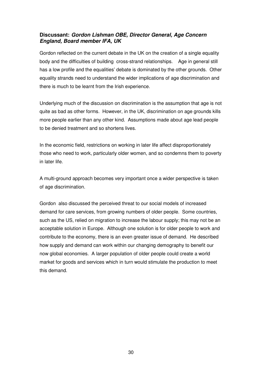### **Discussant: Gordon Lishman OBE, Director General, Age Concern England, Board member IFA, UK**

Gordon reflected on the current debate in the UK on the creation of a single equality body and the difficulties of building cross-strand relationships. Age in general still has a low profile and the equalities' debate is dominated by the other grounds. Other equality strands need to understand the wider implications of age discrimination and there is much to be learnt from the Irish experience.

Underlying much of the discussion on discrimination is the assumption that age is not quite as bad as other forms. However, in the UK, discrimination on age grounds kills more people earlier than any other kind. Assumptions made about age lead people to be denied treatment and so shortens lives.

In the economic field, restrictions on working in later life affect disproportionately those who need to work, particularly older women, and so condemns them to poverty in later life.

A multi-ground approach becomes very important once a wider perspective is taken of age discrimination.

Gordon also discussed the perceived threat to our social models of increased demand for care services, from growing numbers of older people. Some countries, such as the US, relied on migration to increase the labour supply; this may not be an acceptable solution in Europe. Although one solution is for older people to work and contribute to the economy, there is an even greater issue of demand. He described how supply and demand can work within our changing demography to benefit our now global economies. A larger population of older people could create a world market for goods and services which in turn would stimulate the production to meet this demand.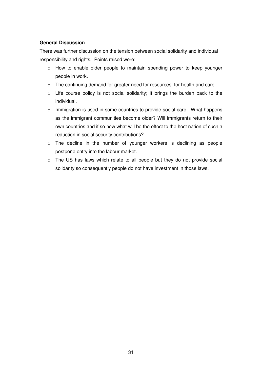### **General Discussion**

There was further discussion on the tension between social solidarity and individual responsibility and rights. Points raised were:

- o How to enable older people to maintain spending power to keep younger people in work.
- o The continuing demand for greater need for resources for health and care.
- o Life course policy is not social solidarity; it brings the burden back to the individual.
- o Immigration is used in some countries to provide social care. What happens as the immigrant communities become older? Will immigrants return to their own countries and if so how what will be the effect to the host nation of such a reduction in social security contributions?
- o The decline in the number of younger workers is declining as people postpone entry into the labour market.
- o The US has laws which relate to all people but they do not provide social solidarity so consequently people do not have investment in those laws.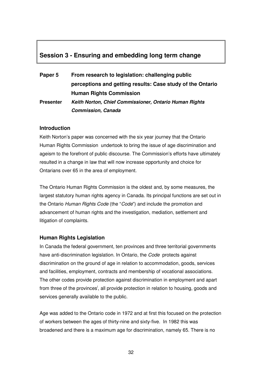## **Session 3 - Ensuring and embedding long term change**

| Paper 5          | From research to legislation: challenging public           |  |
|------------------|------------------------------------------------------------|--|
|                  | perceptions and getting results: Case study of the Ontario |  |
|                  | <b>Human Rights Commission</b>                             |  |
| <b>Presenter</b> | Keith Norton, Chief Commissioner, Ontario Human Rights     |  |
|                  | <b>Commission, Canada</b>                                  |  |

#### **Introduction**

Keith Norton's paper was concerned with the six year journey that the Ontario Human Rights Commission undertook to bring the issue of age discrimination and ageism to the forefront of public discourse. The Commission's efforts have ultimately resulted in a change in law that will now increase opportunity and choice for Ontarians over 65 in the area of employment.

The Ontario Human Rights Commission is the oldest and, by some measures, the largest statutory human rights agency in Canada. Its principal functions are set out in the Ontario Human Rights Code (the "Code") and include the promotion and advancement of human rights and the investigation, mediation, settlement and litigation of complaints.

### **Human Rights Legislation**

In Canada the federal government, ten provinces and three territorial governments have anti-discrimination legislation. In Ontario, the Code protects against discrimination on the ground of age in relation to accommodation, goods, services and facilities, employment, contracts and membership of vocational associations. The other codes provide protection against discrimination in employment and apart from three of the provinces<sup>i</sup>, all provide protection in relation to housing, goods and services generally available to the public.

Age was added to the Ontario code in 1972 and at first this focused on the protection of workers between the ages of thirty-nine and sixty-five. In 1982 this was broadened and there is a maximum age for discrimination, namely 65. There is no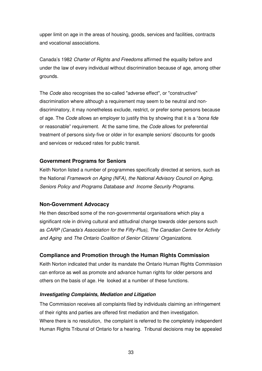upper limit on age in the areas of housing, goods, services and facilities, contracts and vocational associations.

Canada's 1982 Charter of Rights and Freedoms affirmed the equality before and under the law of every individual without discrimination because of age, among other grounds.

The Code also recognises the so-called "adverse effect", or "constructive" discrimination where although a requirement may seem to be neutral and nondiscriminatory, it may nonetheless exclude, restrict, or prefer some persons because of age. The Code allows an employer to justify this by showing that it is a "bona fide or reasonable" requirement. At the same time, the Code allows for preferential treatment of persons sixty-five or older in for example seniors' discounts for goods and services or reduced rates for public transit.

#### **Government Programs for Seniors**

Keith Norton listed a number of programmes specifically directed at seniors, such as the National Framework on Aging (NFA), the National Advisory Council on Aging, Seniors Policy and Programs Database and Income Security Programs.

### **Non-Government Advocacy**

He then described some of the non-governmental organisations which play a significant role in driving cultural and attitudinal change towards older persons such as CARP (Canada's Association for the Fifty-Plus), The Canadian Centre for Activity and Aging and The Ontario Coalition of Senior Citizens' Organizations.

#### **Compliance and Promotion through the Human Rights Commission**

Keith Norton indicated that under its mandate the Ontario Human Rights Commission can enforce as well as promote and advance human rights for older persons and others on the basis of age. He looked at a number of these functions.

#### **Investigating Complaints, Mediation and Litigation**

The Commission receives all complaints filed by individuals claiming an infringement of their rights and parties are offered first mediation and then investigation. Where there is no resolution, the complaint is referred to the completely independent Human Rights Tribunal of Ontario for a hearing. Tribunal decisions may be appealed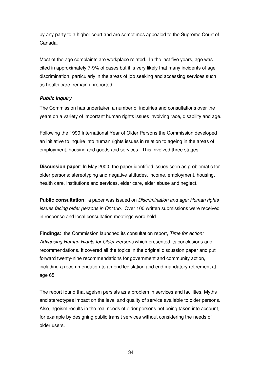by any party to a higher court and are sometimes appealed to the Supreme Court of Canada.

Most of the age complaints are workplace related. In the last five years, age was cited in approximately 7-9% of cases but it is very likely that many incidents of age discrimination, particularly in the areas of job seeking and accessing services such as health care, remain unreported.

### **Public Inquiry**

The Commission has undertaken a number of inquiries and consultations over the years on a variety of important human rights issues involving race, disability and age.

Following the 1999 International Year of Older Persons the Commission developed an initiative to inquire into human rights issues in relation to ageing in the areas of employment, housing and goods and services. This involved three stages:

**Discussion paper**: In May 2000, the paper identified issues seen as problematic for older persons: stereotyping and negative attitudes, income, employment, housing, health care, institutions and services, elder care, elder abuse and neglect.

**Public consultation**: a paper was issued on *Discrimination and age: Human rights* issues facing older persons in Ontario. Over 100 written submissions were received in response and local consultation meetings were held.

**Findings**: the Commission launched its consultation report, Time for Action: Advancing Human Rights for Older Persons which presented its conclusions and recommendations. It covered all the topics in the original discussion paper and put forward twenty-nine recommendations for government and community action, including a recommendation to amend legislation and end mandatory retirement at age 65.

The report found that ageism persists as a problem in services and facilities. Myths and stereotypes impact on the level and quality of service available to older persons. Also, ageism results in the real needs of older persons not being taken into account, for example by designing public transit services without considering the needs of older users.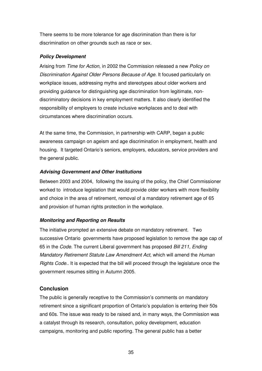There seems to be more tolerance for age discrimination than there is for discrimination on other grounds such as race or sex.

### **Policy Development**

Arising from Time for Action, in 2002 the Commission released a new Policy on Discrimination Against Older Persons Because of Age. It focused particularly on workplace issues, addressing myths and stereotypes about older workers and providing guidance for distinguishing age discrimination from legitimate, nondiscriminatory decisions in key employment matters. It also clearly identified the responsibility of employers to create inclusive workplaces and to deal with circumstances where discrimination occurs.

At the same time, the Commission, in partnership with CARP, began a public awareness campaign on ageism and age discrimination in employment, health and housing. It targeted Ontario's seniors, employers, educators, service providers and the general public.

### **Advising Government and Other Institutions**

Between 2003 and 2004, following the issuing of the policy, the Chief Commissioner worked to introduce legislation that would provide older workers with more flexibility and choice in the area of retirement, removal of a mandatory retirement age of 65 and provision of human rights protection in the workplace.

### **Monitoring and Reporting on Results**

The initiative prompted an extensive debate on mandatory retirement. Two successive Ontario governments have proposed legislation to remove the age cap of 65 in the Code. The current Liberal government has proposed Bill 211, Ending Mandatory Retirement Statute Law Amendment Act, which will amend the Human Rights Code.. It is expected that the bill will proceed through the legislature once the government resumes sitting in Autumn 2005.

### **Conclusion**

The public is generally receptive to the Commission's comments on mandatory retirement since a significant proportion of Ontario's population is entering their 50s and 60s. The issue was ready to be raised and, in many ways, the Commission was a catalyst through its research, consultation, policy development, education campaigns, monitoring and public reporting. The general public has a better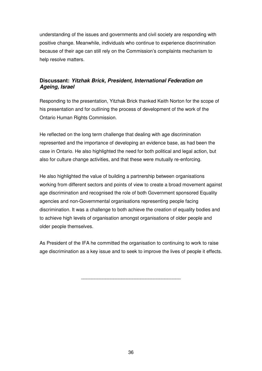understanding of the issues and governments and civil society are responding with positive change. Meanwhile, individuals who continue to experience discrimination because of their age can still rely on the Commission's complaints mechanism to help resolve matters.

### **Discussant: Yitzhak Brick, President, International Federation on Ageing, Israel**

Responding to the presentation, Yitzhak Brick thanked Keith Norton for the scope of his presentation and for outlining the process of development of the work of the Ontario Human Rights Commission.

He reflected on the long term challenge that dealing with age discrimination represented and the importance of developing an evidence base, as had been the case in Ontario. He also highlighted the need for both political and legal action, but also for culture change activities, and that these were mutually re-enforcing.

He also highlighted the value of building a partnership between organisations working from different sectors and points of view to create a broad movement against age discrimination and recognised the role of both Government sponsored Equality agencies and non-Governmental organisations representing people facing discrimination. It was a challenge to both achieve the creation of equality bodies and to achieve high levels of organisation amongst organisations of older people and older people themselves.

As President of the IFA he committed the organisation to continuing to work to raise age discrimination as a key issue and to seek to improve the lives of people it effects.

\_\_\_\_\_\_\_\_\_\_\_\_\_\_\_\_\_\_\_\_\_\_\_\_\_\_\_\_\_\_\_\_\_\_\_\_\_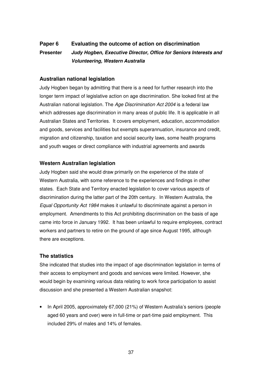# **Paper 6 Evaluating the outcome of action on discrimination Presenter Judy Hogben, Executive Director, Office for Seniors Interests and Volunteering, Western Australia**

### **Australian national legislation**

Judy Hogben began by admitting that there is a need for further research into the longer term impact of legislative action on age discrimination. She looked first at the Australian national legislation. The Age Discrimination Act 2004 is a federal law which addresses age discrimination in many areas of public life. It is applicable in all Australian States and Territories. It covers employment, education, accommodation and goods, services and facilities but exempts superannuation, insurance and credit, migration and citizenship, taxation and social security laws, some health programs and youth wages or direct compliance with industrial agreements and awards

### **Western Australian legislation**

Judy Hogben said she would draw primarily on the experience of the state of Western Australia, with some reference to the experiences and findings in other states. Each State and Territory enacted legislation to cover various aspects of discrimination during the latter part of the 20th century. In Western Australia, the Equal Opportunity Act 1984 makes it unlawful to discriminate against a person in employment. Amendments to this Act prohibiting discrimination on the basis of age came into force in January 1992. It has been unlawful to require employees, contract workers and partners to retire on the ground of age since August 1995, although there are exceptions.

### **The statistics**

She indicated that studies into the impact of age discrimination legislation in terms of their access to employment and goods and services were limited. However, she would begin by examining various data relating to work force participation to assist discussion and she presented a Western Australian snapshot:

• In April 2005, approximately 67,000 (21%) of Western Australia's seniors (people aged 60 years and over) were in full-time or part-time paid employment. This included 29% of males and 14% of females.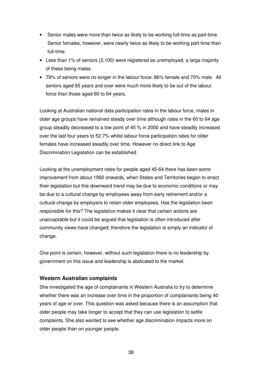- Senior males were more than twice as likely to be working full-time as part-time. Senior females, however, were nearly twice as likely to be working part-time than full-time.
- Less than 1% of seniors (2,100) were registered as unemployed, a large majority of these being males.
- 79% of seniors were no longer in the labour force: 86% female and 70% male. All seniors aged 65 years and over were much more likely to be out of the labour force than those aged 60 to 64 years.

Looking at Australian national data participation rates in the labour force, males in older age groups have remained steady over time although rates in the 60 to 64 age group steadily decreased to a low point of 45 % in 2000 and have steadily increased over the last four years to 52.7% whilst labour force participation rates for older females have increased steadily over time. However no direct link to Age Discrimination Legislation can be established.

Looking at the unemployment rates for people aged 45-64 there has been some improvement from about 1992 onwards, when States and Territories began to enact their legislation but this downward trend may be due to economic conditions or may be due to a cultural change by employees away from early retirement and/or a cultural change by employers to retain older employees. Has the legislation been responsible for this? The legislation makes it clear that certain actions are unacceptable but it could be argued that legislation is often introduced after community views have changed; therefore the legislation is simply an indicator of change.

One point is certain, however, without such legislation there is no leadership by government on this issue and leadership is abdicated to the market.

### **Western Australian complaints**

She investigated the age of complainants in Western Australia to try to determine whether there was an increase over time in the proportion of complainants being 40 years of age or over. This question was asked because there is an assumption that older people may take longer to accept that they can use legislation to settle complaints. She also wanted to see whether age discrimination impacts more on older people than on younger people.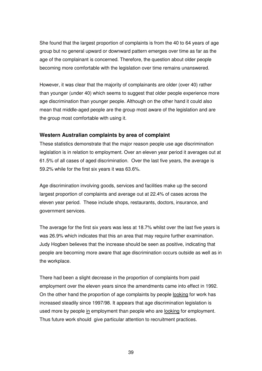She found that the largest proportion of complaints is from the 40 to 64 years of age group but no general upward or downward pattern emerges over time as far as the age of the complainant is concerned. Therefore, the question about older people becoming more comfortable with the legislation over time remains unanswered.

However, it was clear that the majority of complainants are older (over 40) rather than younger (under 40) which seems to suggest that older people experience more age discrimination than younger people. Although on the other hand it could also mean that middle-aged people are the group most aware of the legislation and are the group most comfortable with using it.

### **Western Australian complaints by area of complaint**

These statistics demonstrate that the major reason people use age discrimination legislation is in relation to employment. Over an eleven year period it averages out at 61.5% of all cases of aged discrimination. Over the last five years, the average is 59.2% while for the first six years it was 63.6%.

Age discrimination involving goods, services and facilities make up the second largest proportion of complaints and average out at 22.4% of cases across the eleven year period. These include shops, restaurants, doctors, insurance, and government services.

The average for the first six years was less at 18.7% whilst over the last five years is was 26.9% which indicates that this an area that may require further examination. Judy Hogben believes that the increase should be seen as positive, indicating that people are becoming more aware that age discrimination occurs outside as well as in the workplace.

There had been a slight decrease in the proportion of complaints from paid employment over the eleven years since the amendments came into effect in 1992. On the other hand the proportion of age complaints by people looking for work has increased steadily since 1997/98. It appears that age discrimination legislation is used more by people in employment than people who are looking for employment. Thus future work should give particular attention to recruitment practices.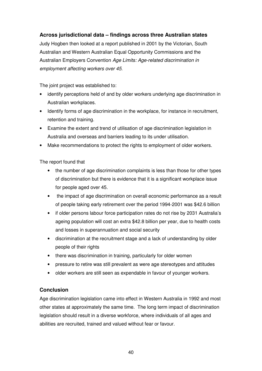### **Across jurisdictional data – findings across three Australian states**

Judy Hogben then looked at a report published in 2001 by the Victorian, South Australian and Western Australian Equal Opportunity Commissions and the Australian Employers Convention Age Limits: Age-related discrimination in employment affecting workers over 45.

The joint project was established to:

- identify perceptions held of and by older workers underlying age discrimination in Australian workplaces.
- Identify forms of age discrimination in the workplace, for instance in recruitment, retention and training.
- Examine the extent and trend of utilisation of age discrimination legislation in Australia and overseas and barriers leading to its under utilisation.
- Make recommendations to protect the rights to employment of older workers.

The report found that

- the number of age discrimination complaints is less than those for other types of discrimination but there is evidence that it is a significant workplace issue for people aged over 45.
- the impact of age discrimination on overall economic performance as a result of people taking early retirement over the period 1994-2001 was \$42.6 billion
- if older persons labour force participation rates do not rise by 2031 Australia's ageing population will cost an extra \$42.8 billion per year, due to health costs and losses in superannuation and social security
- discrimination at the recruitment stage and a lack of understanding by older people of their rights
- there was discrimination in training, particularly for older women
- pressure to retire was still prevalent as were age stereotypes and attitudes
- older workers are still seen as expendable in favour of younger workers.

### **Conclusion**

Age discrimination legislation came into effect in Western Australia in 1992 and most other states at approximately the same time. The long term impact of discrimination legislation should result in a diverse workforce, where individuals of all ages and abilities are recruited, trained and valued without fear or favour.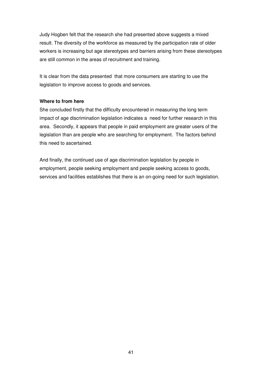Judy Hogben felt that the research she had presented above suggests a mixed result. The diversity of the workforce as measured by the participation rate of older workers is increasing but age stereotypes and barriers arising from these stereotypes are still common in the areas of recruitment and training.

It is clear from the data presented that more consumers are starting to use the legislation to improve access to goods and services.

#### **Where to from here**

She concluded firstly that the difficulty encountered in measuring the long term impact of age discrimination legislation indicates a need for further research in this area. Secondly, it appears that people in paid employment are greater users of the legislation than are people who are searching for employment. The factors behind this need to ascertained.

And finally, the continued use of age discrimination legislation by people in employment, people seeking employment and people seeking access to goods, services and facilities establishes that there is an on-going need for such legislation.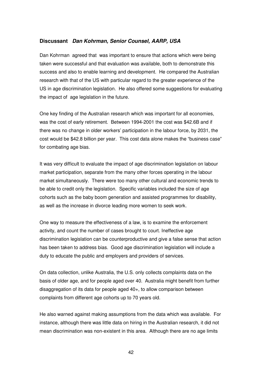### **Discussant Dan Kohrman, Senior Counsel, AARP, USA**

Dan Kohrman agreed that was important to ensure that actions which were being taken were successful and that evaluation was available, both to demonstrate this success and also to enable learning and development. He compared the Australian research with that of the US with particular regard to the greater experience of the US in age discrimination legislation. He also offered some suggestions for evaluating the impact of age legislation in the future.

One key finding of the Australian research which was important for all economies, was the cost of early retirement. Between 1994-2001 the cost was \$42.6B and if there was no change in older workers' participation in the labour force, by 2031, the cost would be \$42.8 billion per year. This cost data alone makes the "business case" for combating age bias.

It was very difficult to evaluate the impact of age discrimination legislation on labour market participation, separate from the many other forces operating in the labour market simultaneously. There were too many other cultural and economic trends to be able to credit only the legislation. Specific variables included the size of age cohorts such as the baby boom generation and assisted programmes for disability, as well as the increase in divorce leading more women to seek work.

One way to measure the effectiveness of a law, is to examine the enforcement activity, and count the number of cases brought to court. Ineffective age discrimination legislation can be counterproductive and give a false sense that action has been taken to address bias. Good age discrimination legislation will include a duty to educate the public and employers and providers of services.

On data collection, unlike Australia, the U.S. only collects complaints data on the basis of older age, and for people aged over 40. Australia might benefit from further disaggregation of its data for people aged 40+, to allow comparison between complaints from different age cohorts up to 70 years old.

He also warned against making assumptions from the data which was available. For instance, although there was little data on hiring in the Australian research, it did not mean discrimination was non-existent in this area. Although there are no age limits

42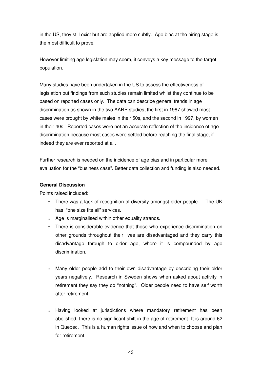in the US, they still exist but are applied more subtly. Age bias at the hiring stage is the most difficult to prove.

However limiting age legislation may seem, it conveys a key message to the target population.

Many studies have been undertaken in the US to assess the effectiveness of legislation but findings from such studies remain limited whilst they continue to be based on reported cases only. The data can describe general trends in age discrimination as shown in the two AARP studies; the first in 1987 showed most cases were brought by white males in their 50s, and the second in 1997, by women in their 40s. Reported cases were not an accurate reflection of the incidence of age discrimination because most cases were settled before reaching the final stage, if indeed they are ever reported at all.

Further research is needed on the incidence of age bias and in particular more evaluation for the "business case". Better data collection and funding is also needed.

#### **General Discussion**

Points raised included:

- o There was a lack of recognition of diversity amongst older people. The UK has "one size fits all" services.
- o Age is marginalised within other equality strands.
- $\circ$  There is considerable evidence that those who experience discrimination on other grounds throughout their lives are disadvantaged and they carry this disadvantage through to older age, where it is compounded by age discrimination.
- $\circ$  Many older people add to their own disadvantage by describing their older years negatively. Research in Sweden shows when asked about activity in retirement they say they do "nothing". Older people need to have self worth after retirement.
- o Having looked at jurisdictions where mandatory retirement has been abolished, there is no significant shift in the age of retirement It is around 62 in Quebec. This is a human rights issue of how and when to choose and plan for retirement.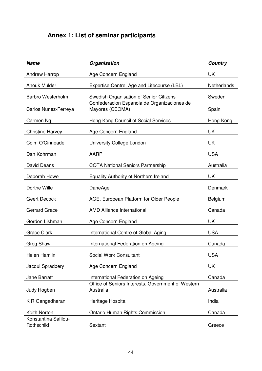# **Annex 1: List of seminar participants**

| <b>Name</b>                        | Organisation                                                    | <b>Country</b>     |
|------------------------------------|-----------------------------------------------------------------|--------------------|
| <b>Andrew Harrop</b>               | Age Concern England                                             | <b>UK</b>          |
| Anouk Mulder                       | Expertise Centre, Age and Lifecourse (LBL)                      | <b>Netherlands</b> |
| <b>Barbro Westerholm</b>           | Swedish Organisation of Senior Citizens                         | Sweden             |
| Carlos Nunez-Ferreya               | Confederacion Espanola de Organizaciones de<br>Mayores (CEOMA)  | Spain              |
| Carmen Ng                          | Hong Kong Council of Social Services                            | Hong Kong          |
| <b>Christine Harvey</b>            | Age Concern England                                             | <b>UK</b>          |
| Colm O'Cinneade                    | University College London                                       | UK                 |
| Dan Kohrman                        | AARP                                                            | <b>USA</b>         |
| David Deans                        | <b>COTA National Seniors Partnership</b>                        | Australia          |
| Deborah Howe                       | Equality Authority of Northern Ireland                          | <b>UK</b>          |
| Dorthe Wille                       | <b>DaneAge</b>                                                  | Denmark            |
| Geert Decock                       | AGE, European Platform for Older People                         | <b>Belgium</b>     |
| <b>Gerrard Grace</b>               | <b>AMD Alliance International</b>                               | Canada             |
| Gordon Lishman                     | Age Concern England                                             | <b>UK</b>          |
| <b>Grace Clark</b>                 | International Centre of Global Aging                            | <b>USA</b>         |
| Greg Shaw                          | International Federation on Ageing                              | Canada             |
| Helen Hamlin                       | Social Work Consultant                                          | <b>USA</b>         |
| Jacqui Spradbery                   | Age Concern England                                             | UK                 |
| <b>Jane Barratt</b>                | International Federation on Ageing                              | Canada             |
| Judy Hogben                        | Office of Seniors Interests, Government of Western<br>Australia | Australia          |
| K R Gangadharan                    | Heritage Hospital                                               | India              |
| Keith Norton                       | Ontario Human Rights Commission                                 | Canada             |
| Konstantina Safilou-<br>Rothschild | Sextant                                                         | Greece             |